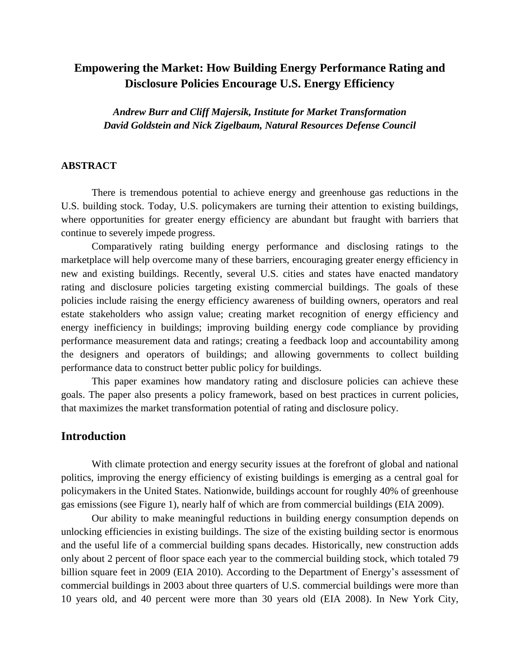# **Empowering the Market: How Building Energy Performance Rating and Disclosure Policies Encourage U.S. Energy Efficiency**

*Andrew Burr and Cliff Majersik, Institute for Market Transformation David Goldstein and Nick Zigelbaum, Natural Resources Defense Council*

#### **ABSTRACT**

There is tremendous potential to achieve energy and greenhouse gas reductions in the U.S. building stock. Today, U.S. policymakers are turning their attention to existing buildings, where opportunities for greater energy efficiency are abundant but fraught with barriers that continue to severely impede progress.

Comparatively rating building energy performance and disclosing ratings to the marketplace will help overcome many of these barriers, encouraging greater energy efficiency in new and existing buildings. Recently, several U.S. cities and states have enacted mandatory rating and disclosure policies targeting existing commercial buildings. The goals of these policies include raising the energy efficiency awareness of building owners, operators and real estate stakeholders who assign value; creating market recognition of energy efficiency and energy inefficiency in buildings; improving building energy code compliance by providing performance measurement data and ratings; creating a feedback loop and accountability among the designers and operators of buildings; and allowing governments to collect building performance data to construct better public policy for buildings.

This paper examines how mandatory rating and disclosure policies can achieve these goals. The paper also presents a policy framework, based on best practices in current policies, that maximizes the market transformation potential of rating and disclosure policy.

### **Introduction**

With climate protection and energy security issues at the forefront of global and national politics, improving the energy efficiency of existing buildings is emerging as a central goal for policymakers in the United States. Nationwide, buildings account for roughly 40% of greenhouse gas emissions (see Figure 1), nearly half of which are from commercial buildings (EIA 2009).

Our ability to make meaningful reductions in building energy consumption depends on unlocking efficiencies in existing buildings. The size of the existing building sector is enormous and the useful life of a commercial building spans decades. Historically, new construction adds only about 2 percent of floor space each year to the commercial building stock, which totaled 79 billion square feet in 2009 (EIA 2010). According to the Department of Energy's assessment of commercial buildings in 2003 about three quarters of U.S. commercial buildings were more than 10 years old, and 40 percent were more than 30 years old (EIA 2008). In New York City,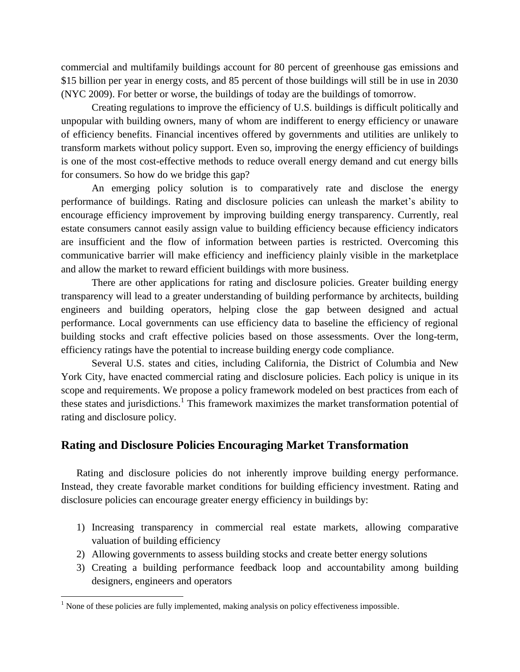commercial and multifamily buildings account for 80 percent of greenhouse gas emissions and \$15 billion per year in energy costs, and 85 percent of those buildings will still be in use in 2030 (NYC 2009). For better or worse, the buildings of today are the buildings of tomorrow.

Creating regulations to improve the efficiency of U.S. buildings is difficult politically and unpopular with building owners, many of whom are indifferent to energy efficiency or unaware of efficiency benefits. Financial incentives offered by governments and utilities are unlikely to transform markets without policy support. Even so, improving the energy efficiency of buildings is one of the most cost-effective methods to reduce overall energy demand and cut energy bills for consumers. So how do we bridge this gap?

An emerging policy solution is to comparatively rate and disclose the energy performance of buildings. Rating and disclosure policies can unleash the market's ability to encourage efficiency improvement by improving building energy transparency. Currently, real estate consumers cannot easily assign value to building efficiency because efficiency indicators are insufficient and the flow of information between parties is restricted. Overcoming this communicative barrier will make efficiency and inefficiency plainly visible in the marketplace and allow the market to reward efficient buildings with more business.

There are other applications for rating and disclosure policies. Greater building energy transparency will lead to a greater understanding of building performance by architects, building engineers and building operators, helping close the gap between designed and actual performance. Local governments can use efficiency data to baseline the efficiency of regional building stocks and craft effective policies based on those assessments. Over the long-term, efficiency ratings have the potential to increase building energy code compliance.

Several U.S. states and cities, including California, the District of Columbia and New York City, have enacted commercial rating and disclosure policies. Each policy is unique in its scope and requirements. We propose a policy framework modeled on best practices from each of these states and jurisdictions.<sup>1</sup> This framework maximizes the market transformation potential of rating and disclosure policy.

## **Rating and Disclosure Policies Encouraging Market Transformation**

Rating and disclosure policies do not inherently improve building energy performance. Instead, they create favorable market conditions for building efficiency investment. Rating and disclosure policies can encourage greater energy efficiency in buildings by:

- 1) Increasing transparency in commercial real estate markets, allowing comparative valuation of building efficiency
- 2) Allowing governments to assess building stocks and create better energy solutions
- 3) Creating a building performance feedback loop and accountability among building designers, engineers and operators

 $1$  None of these policies are fully implemented, making analysis on policy effectiveness impossible.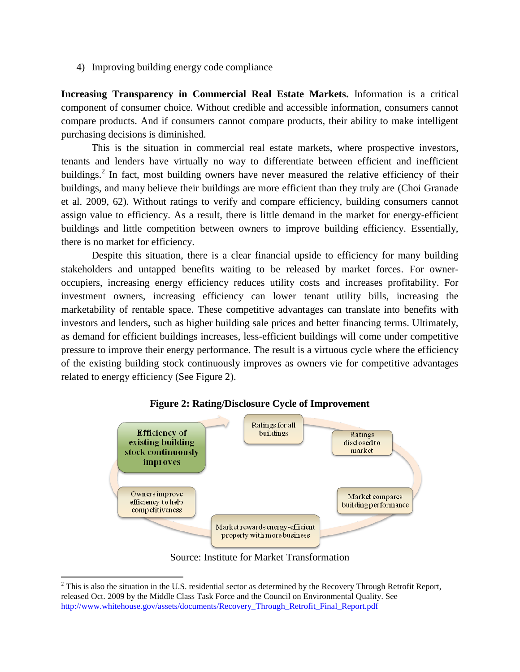4) Improving building energy code compliance

**Increasing Transparency in Commercial Real Estate Markets.** Information is a critical component of consumer choice. Without credible and accessible information, consumers cannot compare products. And if consumers cannot compare products, their ability to make intelligent purchasing decisions is diminished.

This is the situation in commercial real estate markets, where prospective investors, tenants and lenders have virtually no way to differentiate between efficient and inefficient buildings.<sup>2</sup> In fact, most building owners have never measured the relative efficiency of their buildings, and many believe their buildings are more efficient than they truly are (Choi Granade et al. 2009, 62). Without ratings to verify and compare efficiency, building consumers cannot assign value to efficiency. As a result, there is little demand in the market for energy-efficient buildings and little competition between owners to improve building efficiency. Essentially, there is no market for efficiency.

Despite this situation, there is a clear financial upside to efficiency for many building stakeholders and untapped benefits waiting to be released by market forces. For owneroccupiers, increasing energy efficiency reduces utility costs and increases profitability. For investment owners, increasing efficiency can lower tenant utility bills, increasing the marketability of rentable space. These competitive advantages can translate into benefits with investors and lenders, such as higher building sale prices and better financing terms. Ultimately, as demand for efficient buildings increases, less-efficient buildings will come under competitive pressure to improve their energy performance. The result is a virtuous cycle where the efficiency of the existing building stock continuously improves as owners vie for competitive advantages related to energy efficiency (See Figure 2).



#### **Figure 2: Rating/Disclosure Cycle of Improvement**

Source: Institute for Market Transformation

 $2$  This is also the situation in the U.S. residential sector as determined by the Recovery Through Retrofit Report, released Oct. 2009 by the Middle Class Task Force and the Council on Environmental Quality. See [http://www.whitehouse.gov/assets/documents/Recovery\\_Through\\_Retrofit\\_Final\\_Report.pdf](http://www.whitehouse.gov/assets/documents/Recovery_Through_Retrofit_Final_Report.pdf)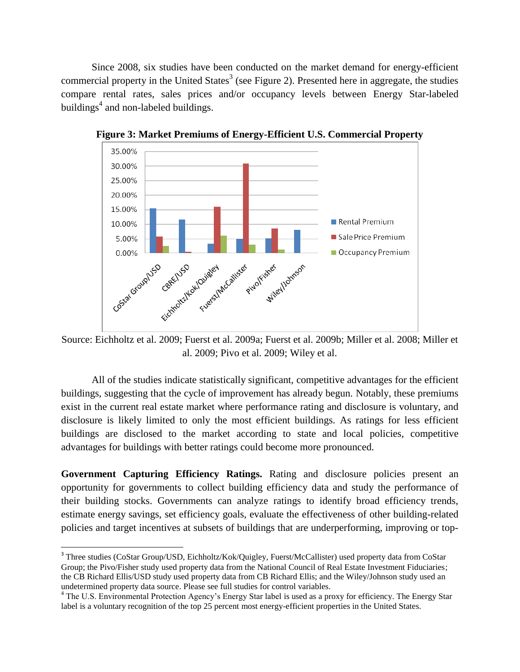Since 2008, six studies have been conducted on the market demand for energy-efficient commercial property in the United States<sup>3</sup> (see Figure 2). Presented here in aggregate, the studies compare rental rates, sales prices and/or occupancy levels between Energy Star-labeled buildings $<sup>4</sup>$  and non-labeled buildings.</sup>



**Figure 3: Market Premiums of Energy-Efficient U.S. Commercial Property**

Source: Eichholtz et al. 2009; Fuerst et al. 2009a; Fuerst et al. 2009b; Miller et al. 2008; Miller et al. 2009; Pivo et al. 2009; Wiley et al.

All of the studies indicate statistically significant, competitive advantages for the efficient buildings, suggesting that the cycle of improvement has already begun. Notably, these premiums exist in the current real estate market where performance rating and disclosure is voluntary, and disclosure is likely limited to only the most efficient buildings. As ratings for less efficient buildings are disclosed to the market according to state and local policies, competitive advantages for buildings with better ratings could become more pronounced.

**Government Capturing Efficiency Ratings.** Rating and disclosure policies present an opportunity for governments to collect building efficiency data and study the performance of their building stocks. Governments can analyze ratings to identify broad efficiency trends, estimate energy savings, set efficiency goals, evaluate the effectiveness of other building-related policies and target incentives at subsets of buildings that are underperforming, improving or top-

l

<sup>&</sup>lt;sup>3</sup> Three studies (CoStar Group/USD, Eichholtz/Kok/Quigley, Fuerst/McCallister) used property data from CoStar Group; the Pivo/Fisher study used property data from the National Council of Real Estate Investment Fiduciaries; the CB Richard Ellis/USD study used property data from CB Richard Ellis; and the Wiley/Johnson study used an undetermined property data source. Please see full studies for control variables.

<sup>&</sup>lt;sup>4</sup> The U.S. Environmental Protection Agency's Energy Star label is used as a proxy for efficiency. The Energy Star label is a voluntary recognition of the top 25 percent most energy-efficient properties in the United States.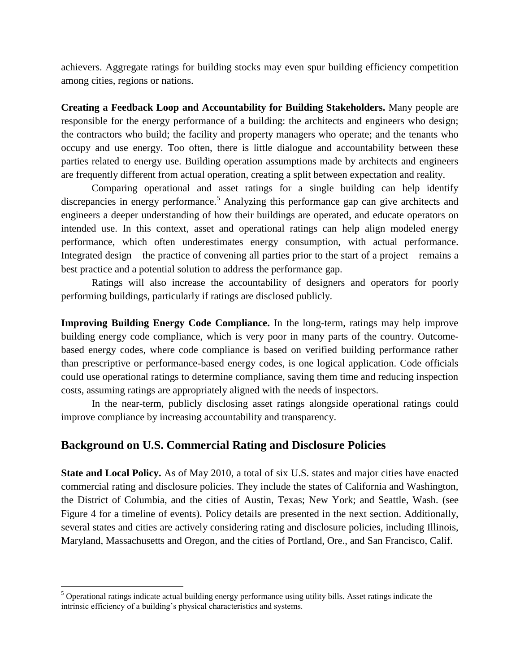achievers. Aggregate ratings for building stocks may even spur building efficiency competition among cities, regions or nations.

**Creating a Feedback Loop and Accountability for Building Stakeholders.** Many people are responsible for the energy performance of a building: the architects and engineers who design; the contractors who build; the facility and property managers who operate; and the tenants who occupy and use energy. Too often, there is little dialogue and accountability between these parties related to energy use. Building operation assumptions made by architects and engineers are frequently different from actual operation, creating a split between expectation and reality.

Comparing operational and asset ratings for a single building can help identify discrepancies in energy performance.<sup>5</sup> Analyzing this performance gap can give architects and engineers a deeper understanding of how their buildings are operated, and educate operators on intended use. In this context, asset and operational ratings can help align modeled energy performance, which often underestimates energy consumption, with actual performance. Integrated design – the practice of convening all parties prior to the start of a project – remains a best practice and a potential solution to address the performance gap.

Ratings will also increase the accountability of designers and operators for poorly performing buildings, particularly if ratings are disclosed publicly.

**Improving Building Energy Code Compliance.** In the long-term, ratings may help improve building energy code compliance, which is very poor in many parts of the country. Outcomebased energy codes, where code compliance is based on verified building performance rather than prescriptive or performance-based energy codes, is one logical application. Code officials could use operational ratings to determine compliance, saving them time and reducing inspection costs, assuming ratings are appropriately aligned with the needs of inspectors.

In the near-term, publicly disclosing asset ratings alongside operational ratings could improve compliance by increasing accountability and transparency.

## **Background on U.S. Commercial Rating and Disclosure Policies**

**State and Local Policy.** As of May 2010, a total of six U.S. states and major cities have enacted commercial rating and disclosure policies. They include the states of California and Washington, the District of Columbia, and the cities of Austin, Texas; New York; and Seattle, Wash. (see Figure 4 for a timeline of events). Policy details are presented in the next section. Additionally, several states and cities are actively considering rating and disclosure policies, including Illinois, Maryland, Massachusetts and Oregon, and the cities of Portland, Ore., and San Francisco, Calif.

 $<sup>5</sup>$  Operational ratings indicate actual building energy performance using utility bills. Asset ratings indicate the</sup> intrinsic efficiency of a building's physical characteristics and systems.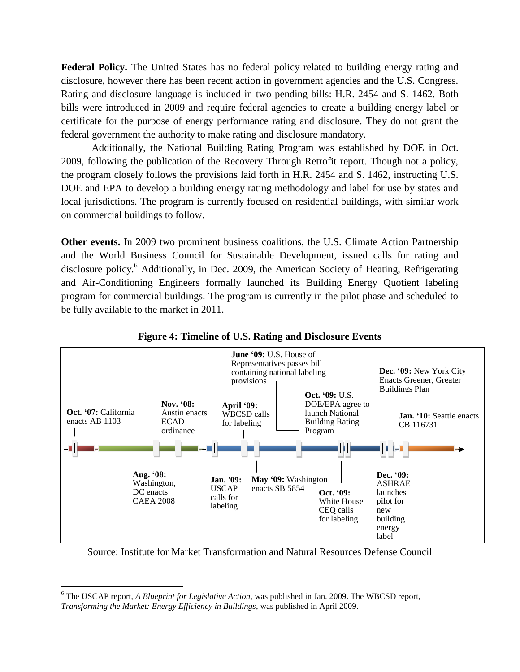**Federal Policy.** The United States has no federal policy related to building energy rating and disclosure, however there has been recent action in government agencies and the U.S. Congress. Rating and disclosure language is included in two pending bills: H.R. 2454 and S. 1462. Both bills were introduced in 2009 and require federal agencies to create a building energy label or certificate for the purpose of energy performance rating and disclosure. They do not grant the federal government the authority to make rating and disclosure mandatory.

Additionally, the National Building Rating Program was established by DOE in Oct. 2009, following the publication of the Recovery Through Retrofit report. Though not a policy, the program closely follows the provisions laid forth in H.R. 2454 and S. 1462, instructing U.S. DOE and EPA to develop a building energy rating methodology and label for use by states and local jurisdictions. The program is currently focused on residential buildings, with similar work on commercial buildings to follow.

**Other events.** In 2009 two prominent business coalitions, the U.S. Climate Action Partnership and the World Business Council for Sustainable Development, issued calls for rating and disclosure policy.<sup>6</sup> Additionally, in Dec. 2009, the American Society of Heating, Refrigerating and Air-Conditioning Engineers formally launched its Building Energy Quotient labeling program for commercial buildings. The program is currently in the pilot phase and scheduled to be fully available to the market in 2011.



**Figure 4: Timeline of U.S. Rating and Disclosure Events**

Source: Institute for Market Transformation and Natural Resources Defense Council

<sup>6</sup> The USCAP report, *A Blueprint for Legislative Action*, was published in Jan. 2009. The WBCSD report, *Transforming the Market: Energy Efficiency in Buildings*, was published in April 2009.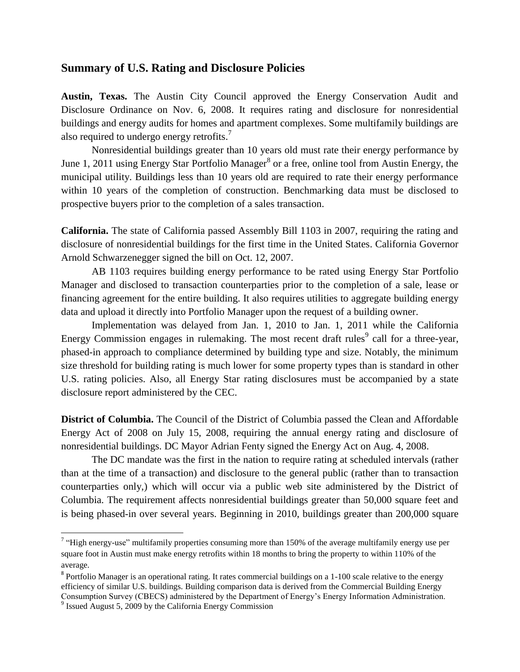### **Summary of U.S. Rating and Disclosure Policies**

**Austin, Texas.** The Austin City Council approved the Energy Conservation Audit and Disclosure Ordinance on Nov. 6, 2008. It requires rating and disclosure for nonresidential buildings and energy audits for homes and apartment complexes. Some multifamily buildings are also required to undergo energy retrofits.<sup>7</sup>

Nonresidential buildings greater than 10 years old must rate their energy performance by June 1, 2011 using Energy Star Portfolio Manager<sup>8</sup> or a free, online tool from Austin Energy, the municipal utility. Buildings less than 10 years old are required to rate their energy performance within 10 years of the completion of construction. Benchmarking data must be disclosed to prospective buyers prior to the completion of a sales transaction.

**California.** The state of California passed Assembly Bill 1103 in 2007, requiring the rating and disclosure of nonresidential buildings for the first time in the United States. California Governor Arnold Schwarzenegger signed the bill on Oct. 12, 2007.

AB 1103 requires building energy performance to be rated using Energy Star Portfolio Manager and disclosed to transaction counterparties prior to the completion of a sale, lease or financing agreement for the entire building. It also requires utilities to aggregate building energy data and upload it directly into Portfolio Manager upon the request of a building owner.

Implementation was delayed from Jan. 1, 2010 to Jan. 1, 2011 while the California Energy Commission engages in rulemaking. The most recent draft rules<sup>9</sup> call for a three-year, phased-in approach to compliance determined by building type and size. Notably, the minimum size threshold for building rating is much lower for some property types than is standard in other U.S. rating policies. Also, all Energy Star rating disclosures must be accompanied by a state disclosure report administered by the CEC.

**District of Columbia.** The Council of the District of Columbia passed the Clean and Affordable Energy Act of 2008 on July 15, 2008, requiring the annual energy rating and disclosure of nonresidential buildings. DC Mayor Adrian Fenty signed the Energy Act on Aug. 4, 2008.

The DC mandate was the first in the nation to require rating at scheduled intervals (rather than at the time of a transaction) and disclosure to the general public (rather than to transaction counterparties only,) which will occur via a public web site administered by the District of Columbia. The requirement affects nonresidential buildings greater than 50,000 square feet and is being phased-in over several years. Beginning in 2010, buildings greater than 200,000 square

<sup>&</sup>lt;sup>7</sup> "High energy-use" multifamily properties consuming more than 150% of the average multifamily energy use per square foot in Austin must make energy retrofits within 18 months to bring the property to within 110% of the average.

<sup>&</sup>lt;sup>8</sup> Portfolio Manager is an operational rating. It rates commercial buildings on a 1-100 scale relative to the energy efficiency of similar U.S. buildings. Building comparison data is derived from the Commercial Building Energy Consumption Survey (CBECS) administered by the Department of Energy's Energy Information Administration.

<sup>&</sup>lt;sup>9</sup> Issued August 5, 2009 by the California Energy Commission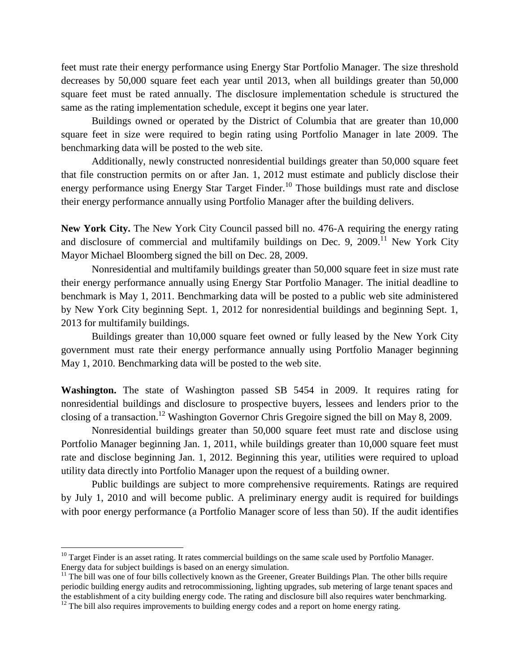feet must rate their energy performance using Energy Star Portfolio Manager. The size threshold decreases by 50,000 square feet each year until 2013, when all buildings greater than 50,000 square feet must be rated annually. The disclosure implementation schedule is structured the same as the rating implementation schedule, except it begins one year later.

Buildings owned or operated by the District of Columbia that are greater than 10,000 square feet in size were required to begin rating using Portfolio Manager in late 2009. The benchmarking data will be posted to the web site.

Additionally, newly constructed nonresidential buildings greater than 50,000 square feet that file construction permits on or after Jan. 1, 2012 must estimate and publicly disclose their energy performance using Energy Star Target Finder.<sup>10</sup> Those buildings must rate and disclose their energy performance annually using Portfolio Manager after the building delivers.

**New York City.** The New York City Council passed bill no. 476-A requiring the energy rating and disclosure of commercial and multifamily buildings on Dec. 9, 2009.<sup>11</sup> New York City Mayor Michael Bloomberg signed the bill on Dec. 28, 2009.

Nonresidential and multifamily buildings greater than 50,000 square feet in size must rate their energy performance annually using Energy Star Portfolio Manager. The initial deadline to benchmark is May 1, 2011. Benchmarking data will be posted to a public web site administered by New York City beginning Sept. 1, 2012 for nonresidential buildings and beginning Sept. 1, 2013 for multifamily buildings.

Buildings greater than 10,000 square feet owned or fully leased by the New York City government must rate their energy performance annually using Portfolio Manager beginning May 1, 2010. Benchmarking data will be posted to the web site.

**Washington.** The state of Washington passed SB 5454 in 2009. It requires rating for nonresidential buildings and disclosure to prospective buyers, lessees and lenders prior to the closing of a transaction.<sup>12</sup> Washington Governor Chris Gregoire signed the bill on May 8, 2009.

Nonresidential buildings greater than 50,000 square feet must rate and disclose using Portfolio Manager beginning Jan. 1, 2011, while buildings greater than 10,000 square feet must rate and disclose beginning Jan. 1, 2012. Beginning this year, utilities were required to upload utility data directly into Portfolio Manager upon the request of a building owner.

Public buildings are subject to more comprehensive requirements. Ratings are required by July 1, 2010 and will become public. A preliminary energy audit is required for buildings with poor energy performance (a Portfolio Manager score of less than 50). If the audit identifies

l

 $10$  Target Finder is an asset rating. It rates commercial buildings on the same scale used by Portfolio Manager. Energy data for subject buildings is based on an energy simulation.

 $11$  The bill was one of four bills collectively known as the Greener, Greater Buildings Plan. The other bills require periodic building energy audits and retrocommissioning, lighting upgrades, sub metering of large tenant spaces and the establishment of a city building energy code. The rating and disclosure bill also requires water benchmarking.

 $12$  The bill also requires improvements to building energy codes and a report on home energy rating.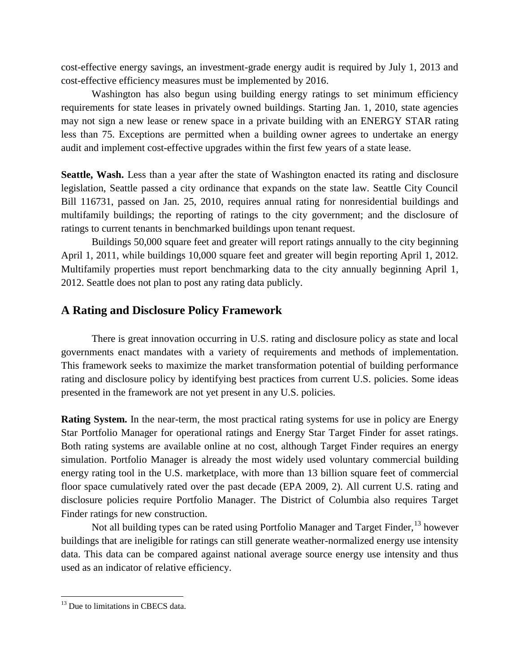cost-effective energy savings, an investment-grade energy audit is required by July 1, 2013 and cost-effective efficiency measures must be implemented by 2016.

Washington has also begun using building energy ratings to set minimum efficiency requirements for state leases in privately owned buildings. Starting Jan. 1, 2010, state agencies may not sign a new lease or renew space in a private building with an ENERGY STAR rating less than 75. Exceptions are permitted when a building owner agrees to undertake an energy audit and implement cost-effective upgrades within the first few years of a state lease.

**Seattle, Wash.** Less than a year after the state of Washington enacted its rating and disclosure legislation, Seattle passed a city ordinance that expands on the state law. Seattle City Council Bill 116731, passed on Jan. 25, 2010, requires annual rating for nonresidential buildings and multifamily buildings; the reporting of ratings to the city government; and the disclosure of ratings to current tenants in benchmarked buildings upon tenant request.

Buildings 50,000 square feet and greater will report ratings annually to the city beginning April 1, 2011, while buildings 10,000 square feet and greater will begin reporting April 1, 2012. Multifamily properties must report benchmarking data to the city annually beginning April 1, 2012. Seattle does not plan to post any rating data publicly.

## **A Rating and Disclosure Policy Framework**

There is great innovation occurring in U.S. rating and disclosure policy as state and local governments enact mandates with a variety of requirements and methods of implementation. This framework seeks to maximize the market transformation potential of building performance rating and disclosure policy by identifying best practices from current U.S. policies. Some ideas presented in the framework are not yet present in any U.S. policies.

**Rating System.** In the near-term, the most practical rating systems for use in policy are Energy Star Portfolio Manager for operational ratings and Energy Star Target Finder for asset ratings. Both rating systems are available online at no cost, although Target Finder requires an energy simulation. Portfolio Manager is already the most widely used voluntary commercial building energy rating tool in the U.S. marketplace, with more than 13 billion square feet of commercial floor space cumulatively rated over the past decade (EPA 2009, 2). All current U.S. rating and disclosure policies require Portfolio Manager. The District of Columbia also requires Target Finder ratings for new construction.

Not all building types can be rated using Portfolio Manager and Target Finder,  $^{13}$  however buildings that are ineligible for ratings can still generate weather-normalized energy use intensity data. This data can be compared against national average source energy use intensity and thus used as an indicator of relative efficiency.

<sup>&</sup>lt;sup>13</sup> Due to limitations in CBECS data.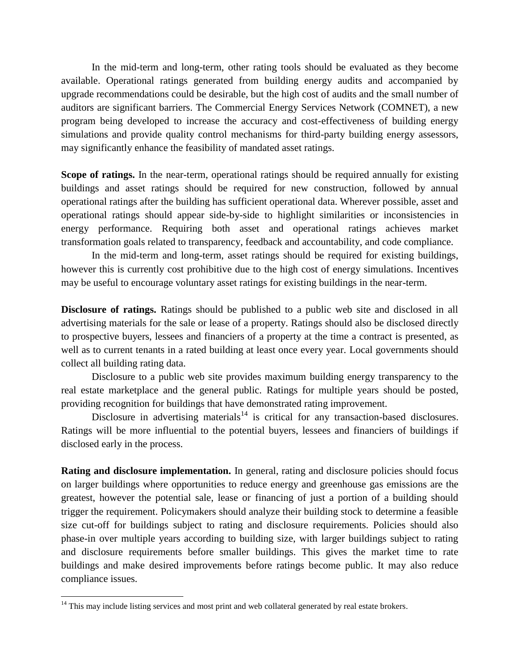In the mid-term and long-term, other rating tools should be evaluated as they become available. Operational ratings generated from building energy audits and accompanied by upgrade recommendations could be desirable, but the high cost of audits and the small number of auditors are significant barriers. The Commercial Energy Services Network (COMNET), a new program being developed to increase the accuracy and cost-effectiveness of building energy simulations and provide quality control mechanisms for third-party building energy assessors, may significantly enhance the feasibility of mandated asset ratings.

**Scope of ratings.** In the near-term, operational ratings should be required annually for existing buildings and asset ratings should be required for new construction, followed by annual operational ratings after the building has sufficient operational data. Wherever possible, asset and operational ratings should appear side-by-side to highlight similarities or inconsistencies in energy performance. Requiring both asset and operational ratings achieves market transformation goals related to transparency, feedback and accountability, and code compliance.

In the mid-term and long-term, asset ratings should be required for existing buildings, however this is currently cost prohibitive due to the high cost of energy simulations. Incentives may be useful to encourage voluntary asset ratings for existing buildings in the near-term.

**Disclosure of ratings.** Ratings should be published to a public web site and disclosed in all advertising materials for the sale or lease of a property. Ratings should also be disclosed directly to prospective buyers, lessees and financiers of a property at the time a contract is presented, as well as to current tenants in a rated building at least once every year. Local governments should collect all building rating data.

Disclosure to a public web site provides maximum building energy transparency to the real estate marketplace and the general public. Ratings for multiple years should be posted, providing recognition for buildings that have demonstrated rating improvement.

Disclosure in advertising materials<sup>14</sup> is critical for any transaction-based disclosures. Ratings will be more influential to the potential buyers, lessees and financiers of buildings if disclosed early in the process.

**Rating and disclosure implementation.** In general, rating and disclosure policies should focus on larger buildings where opportunities to reduce energy and greenhouse gas emissions are the greatest, however the potential sale, lease or financing of just a portion of a building should trigger the requirement. Policymakers should analyze their building stock to determine a feasible size cut-off for buildings subject to rating and disclosure requirements. Policies should also phase-in over multiple years according to building size, with larger buildings subject to rating and disclosure requirements before smaller buildings. This gives the market time to rate buildings and make desired improvements before ratings become public. It may also reduce compliance issues.

 $14$  This may include listing services and most print and web collateral generated by real estate brokers.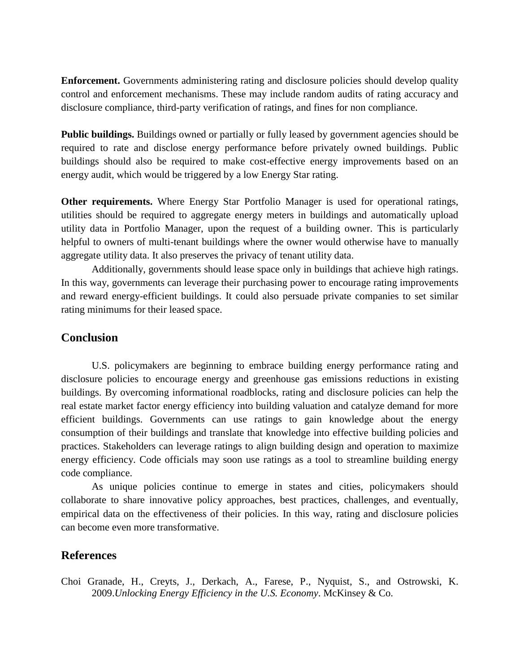**Enforcement.** Governments administering rating and disclosure policies should develop quality control and enforcement mechanisms. These may include random audits of rating accuracy and disclosure compliance, third-party verification of ratings, and fines for non compliance.

**Public buildings.** Buildings owned or partially or fully leased by government agencies should be required to rate and disclose energy performance before privately owned buildings. Public buildings should also be required to make cost-effective energy improvements based on an energy audit, which would be triggered by a low Energy Star rating.

**Other requirements.** Where Energy Star Portfolio Manager is used for operational ratings, utilities should be required to aggregate energy meters in buildings and automatically upload utility data in Portfolio Manager, upon the request of a building owner. This is particularly helpful to owners of multi-tenant buildings where the owner would otherwise have to manually aggregate utility data. It also preserves the privacy of tenant utility data.

Additionally, governments should lease space only in buildings that achieve high ratings. In this way, governments can leverage their purchasing power to encourage rating improvements and reward energy-efficient buildings. It could also persuade private companies to set similar rating minimums for their leased space.

## **Conclusion**

U.S. policymakers are beginning to embrace building energy performance rating and disclosure policies to encourage energy and greenhouse gas emissions reductions in existing buildings. By overcoming informational roadblocks, rating and disclosure policies can help the real estate market factor energy efficiency into building valuation and catalyze demand for more efficient buildings. Governments can use ratings to gain knowledge about the energy consumption of their buildings and translate that knowledge into effective building policies and practices. Stakeholders can leverage ratings to align building design and operation to maximize energy efficiency. Code officials may soon use ratings as a tool to streamline building energy code compliance.

As unique policies continue to emerge in states and cities, policymakers should collaborate to share innovative policy approaches, best practices, challenges, and eventually, empirical data on the effectiveness of their policies. In this way, rating and disclosure policies can become even more transformative.

## **References**

Choi Granade, H., Creyts, J., Derkach, A., Farese, P., Nyquist, S., and Ostrowski, K. 2009.*Unlocking Energy Efficiency in the U.S. Economy*. McKinsey & Co.